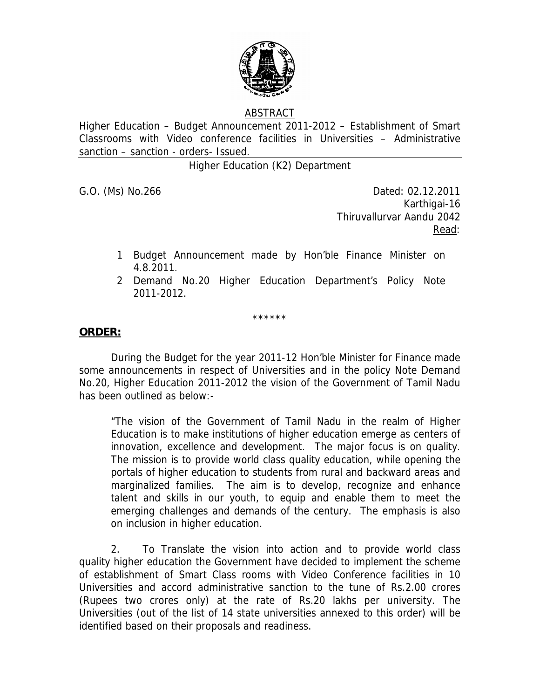

## ABSTRACT

Higher Education – Budget Announcement 2011-2012 – Establishment of Smart Classrooms with Video conference facilities in Universities – Administrative sanction – sanction - orders- Issued.

Higher Education (K2) Department

G.O. (Ms) No.266 Dated: 02.12.2011 Karthigai-16 Thiruvallurvar Aandu 2042 <u>Read</u>: the contract of the contract of the Read:

- 1 Budget Announcement made by Hon'ble Finance Minister on 4.8.2011.
- 2 Demand No.20 Higher Education Department's Policy Note 2011-2012.

\*\*\*\*\*\*

## **ORDER:**

 During the Budget for the year 2011-12 Hon'ble Minister for Finance made some announcements in respect of Universities and in the policy Note Demand No.20, Higher Education 2011-2012 the vision of the Government of Tamil Nadu has been outlined as below:-

"The vision of the Government of Tamil Nadu in the realm of Higher Education is to make institutions of higher education emerge as centers of innovation, excellence and development. The major focus is on quality. The mission is to provide world class quality education, while opening the portals of higher education to students from rural and backward areas and marginalized families. The aim is to develop, recognize and enhance talent and skills in our youth, to equip and enable them to meet the emerging challenges and demands of the century. The emphasis is also on inclusion in higher education.

 2. To Translate the vision into action and to provide world class quality higher education the Government have decided to implement the scheme of establishment of Smart Class rooms with Video Conference facilities in 10 Universities and accord administrative sanction to the tune of Rs.2.00 crores (Rupees two crores only) at the rate of Rs.20 lakhs per university. The Universities (out of the list of 14 state universities annexed to this order) will be identified based on their proposals and readiness.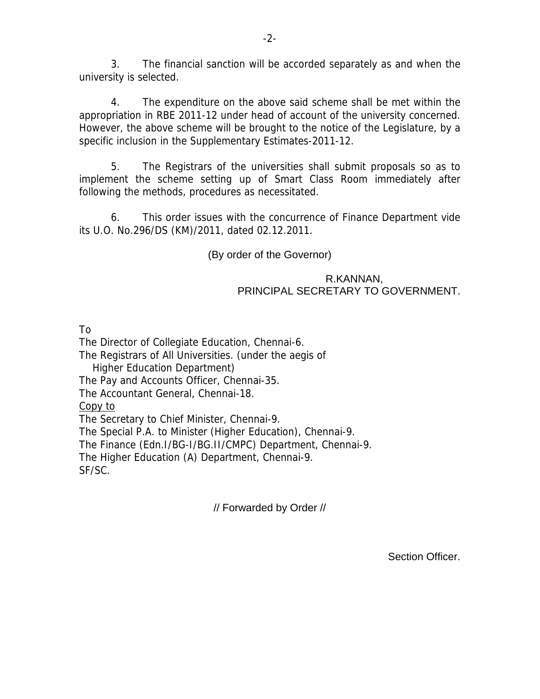3. The financial sanction will be accorded separately as and when the university is selected.

-2-

4. The expenditure on the above said scheme shall be met within the appropriation in RBE 2011-12 under head of account of the university concerned. However, the above scheme will be brought to the notice of the Legislature, by a specific inclusion in the Supplementary Estimates-2011-12.

 5. The Registrars of the universities shall submit proposals so as to implement the scheme setting up of Smart Class Room immediately after following the methods, procedures as necessitated.

 6. This order issues with the concurrence of Finance Department vide its U.O. No.296/DS (KM)/2011, dated 02.12.2011.

(By order of the Governor)

## R.KANNAN, PRINCIPAL SECRETARY TO GOVERNMENT.

To

The Director of Collegiate Education, Chennai-6. The Registrars of All Universities. (under the aegis of Higher Education Department) The Pay and Accounts Officer, Chennai-35. The Accountant General, Chennai-18. Copy to The Secretary to Chief Minister, Chennai-9. The Special P.A. to Minister (Higher Education), Chennai-9. The Finance (Edn.I/BG-I/BG.II/CMPC) Department, Chennai-9. The Higher Education (A) Department, Chennai-9. SF/SC.

// Forwarded by Order //

Section Officer.